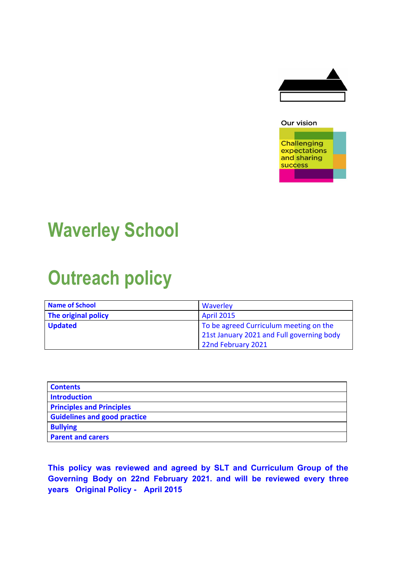

#### Our vision



# **Waverley School**

# **Outreach policy**

| <b>Name of School</b> | Waverley                                  |
|-----------------------|-------------------------------------------|
| The original policy   | <b>April 2015</b>                         |
| <b>Updated</b>        | To be agreed Curriculum meeting on the    |
|                       | 21st January 2021 and Full governing body |
|                       | 22nd February 2021                        |

| <b>Contents</b>                     |
|-------------------------------------|
| <b>Introduction</b>                 |
| <b>Principles and Principles</b>    |
| <b>Guidelines and good practice</b> |
| <b>Bullying</b>                     |
| <b>Parent and carers</b>            |

**This policy was reviewed and agreed by SLT and Curriculum Group of the Governing Body on 22nd February 2021. and will be reviewed every three years Original Policy - April 2015**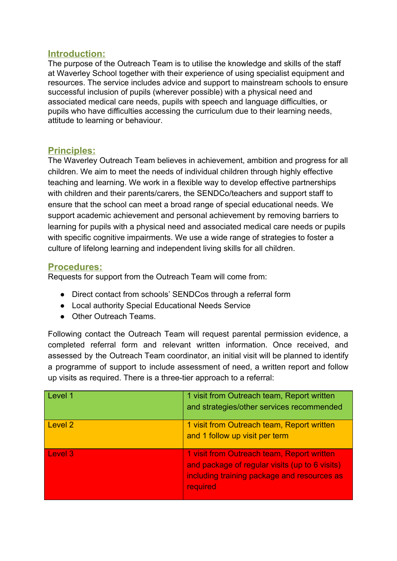## **Introduction:**

The purpose of the Outreach Team is to utilise the knowledge and skills of the staff at Waverley School together with their experience of using specialist equipment and resources. The service includes advice and support to mainstream schools to ensure successful inclusion of pupils (wherever possible) with a physical need and associated medical care needs, pupils with speech and language difficulties, or pupils who have difficulties accessing the curriculum due to their learning needs, attitude to learning or behaviour.

### **Principles:**

The Waverley Outreach Team believes in achievement, ambition and progress for all children. We aim to meet the needs of individual children through highly effective teaching and learning. We work in a flexible way to develop effective partnerships with children and their parents/carers, the SENDCo/teachers and support staff to ensure that the school can meet a broad range of special educational needs. We support academic achievement and personal achievement by removing barriers to learning for pupils with a physical need and associated medical care needs or pupils with specific cognitive impairments. We use a wide range of strategies to foster a culture of lifelong learning and independent living skills for all children.

#### **Procedures:**

Requests for support from the Outreach Team will come from:

- Direct contact from schools' SENDCos through a referral form
- Local authority Special Educational Needs Service
- Other Outreach Teams.

Following contact the Outreach Team will request parental permission evidence, a completed referral form and relevant written information. Once received, and assessed by the Outreach Team coordinator, an initial visit will be planned to identify a programme of support to include assessment of need, a written report and follow up visits as required. There is a three-tier approach to a referral:

| Level 1            | 1 visit from Outreach team, Report written<br>and strategies/other services recommended                                                                 |
|--------------------|---------------------------------------------------------------------------------------------------------------------------------------------------------|
| Level <sub>2</sub> | 1 visit from Outreach team, Report written<br>and 1 follow up visit per term                                                                            |
| Level 3            | 1 visit from Outreach team, Report written<br>and package of regular visits (up to 6 visits)<br>including training package and resources as<br>required |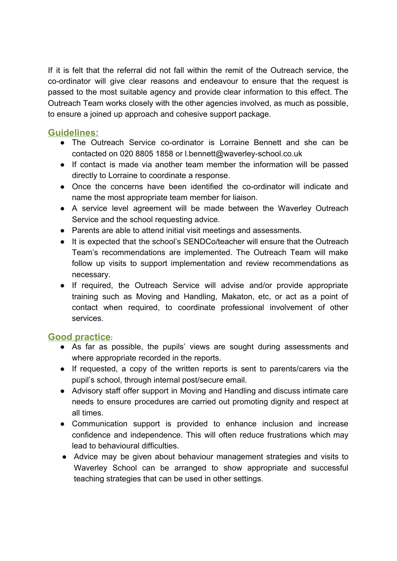If it is felt that the referral did not fall within the remit of the Outreach service, the co-ordinator will give clear reasons and endeavour to ensure that the request is passed to the most suitable agency and provide clear information to this effect. The Outreach Team works closely with the other agencies involved, as much as possible, to ensure a joined up approach and cohesive support package.

# **Guidelines:**

- The Outreach Service co-ordinator is Lorraine Bennett and she can be contacted on 020 8805 1858 or l.bennett@waverley-school.co.uk
- If contact is made via another team member the information will be passed directly to Lorraine to coordinate a response.
- Once the concerns have been identified the co-ordinator will indicate and name the most appropriate team member for liaison.
- A service level agreement will be made between the Waverley Outreach Service and the school requesting advice.
- Parents are able to attend initial visit meetings and assessments.
- It is expected that the school's SENDCo/teacher will ensure that the Outreach Team's recommendations are implemented. The Outreach Team will make follow up visits to support implementation and review recommendations as necessary.
- If required, the Outreach Service will advise and/or provide appropriate training such as Moving and Handling, Makaton, etc, or act as a point of contact when required, to coordinate professional involvement of other services.

## **Good practice**:

- As far as possible, the pupils' views are sought during assessments and where appropriate recorded in the reports.
- If requested, a copy of the written reports is sent to parents/carers via the pupil's school, through internal post/secure email.
- Advisory staff offer support in Moving and Handling and discuss intimate care needs to ensure procedures are carried out promoting dignity and respect at all times.
- Communication support is provided to enhance inclusion and increase confidence and independence. This will often reduce frustrations which may lead to behavioural difficulties.
- Advice may be given about behaviour management strategies and visits to Waverley School can be arranged to show appropriate and successful teaching strategies that can be used in other settings.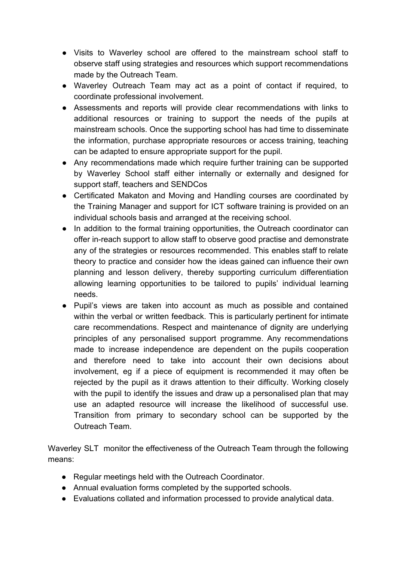- Visits to Waverley school are offered to the mainstream school staff to observe staff using strategies and resources which support recommendations made by the Outreach Team.
- Waverley Outreach Team may act as a point of contact if required, to coordinate professional involvement.
- Assessments and reports will provide clear recommendations with links to additional resources or training to support the needs of the pupils at mainstream schools. Once the supporting school has had time to disseminate the information, purchase appropriate resources or access training, teaching can be adapted to ensure appropriate support for the pupil.
- Any recommendations made which require further training can be supported by Waverley School staff either internally or externally and designed for support staff, teachers and SENDCos
- Certificated Makaton and Moving and Handling courses are coordinated by the Training Manager and support for ICT software training is provided on an individual schools basis and arranged at the receiving school.
- In addition to the formal training opportunities, the Outreach coordinator can offer in-reach support to allow staff to observe good practise and demonstrate any of the strategies or resources recommended. This enables staff to relate theory to practice and consider how the ideas gained can influence their own planning and lesson delivery, thereby supporting curriculum differentiation allowing learning opportunities to be tailored to pupils' individual learning needs.
- Pupil's views are taken into account as much as possible and contained within the verbal or written feedback. This is particularly pertinent for intimate care recommendations. Respect and maintenance of dignity are underlying principles of any personalised support programme. Any recommendations made to increase independence are dependent on the pupils cooperation and therefore need to take into account their own decisions about involvement, eg if a piece of equipment is recommended it may often be rejected by the pupil as it draws attention to their difficulty. Working closely with the pupil to identify the issues and draw up a personalised plan that may use an adapted resource will increase the likelihood of successful use. Transition from primary to secondary school can be supported by the Outreach Team.

Waverley SLT monitor the effectiveness of the Outreach Team through the following means:

- Regular meetings held with the Outreach Coordinator.
- Annual evaluation forms completed by the supported schools.
- Evaluations collated and information processed to provide analytical data.